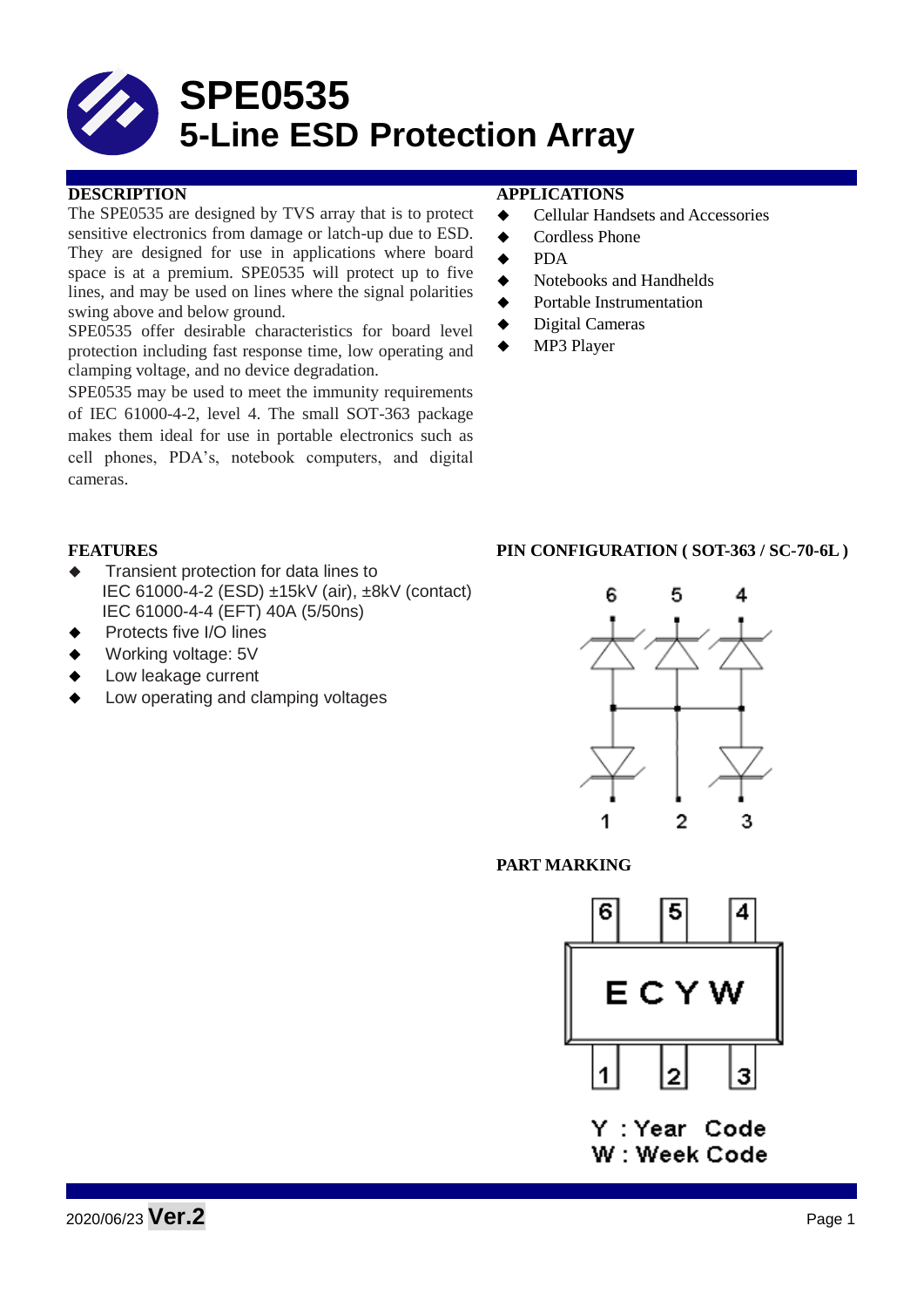# **SPE0535 5-Line ESD Protection Array**

# **DESCRIPTION APPLICATIONS**

The SPE0535 are designed by TVS array that is to protect sensitive electronics from damage or latch-up due to ESD. They are designed for use in applications where board space is at a premium. SPE0535 will protect up to five lines, and may be used on lines where the signal polarities swing above and below ground.

SPE0535 offer desirable characteristics for board level protection including fast response time, low operating and clamping voltage, and no device degradation.

SPE0535 may be used to meet the immunity requirements of IEC 61000-4-2, level 4. The small SOT-363 package makes them ideal for use in portable electronics such as cell phones, PDA's, notebook computers, and digital cameras.

- Cellular Handsets and Accessories
- **←** Cordless Phone
- $\bullet$  PDA
- Notebooks and Handhelds
- Portable Instrumentation
- ◆ Digital Cameras
- MP3 Player

- Transient protection for data lines to IEC 61000-4-2 (ESD) ±15kV (air), ±8kV (contact) IEC 61000-4-4 (EFT) 40A (5/50ns)
- Protects five I/O lines
- Working voltage: 5V
- Low leakage current
- Low operating and clamping voltages

# **FEATURES PIN CONFIGURATION ( SOT-363 / SC-70-6L )**



**PART MARKING**



Y : Year Code W : Week Code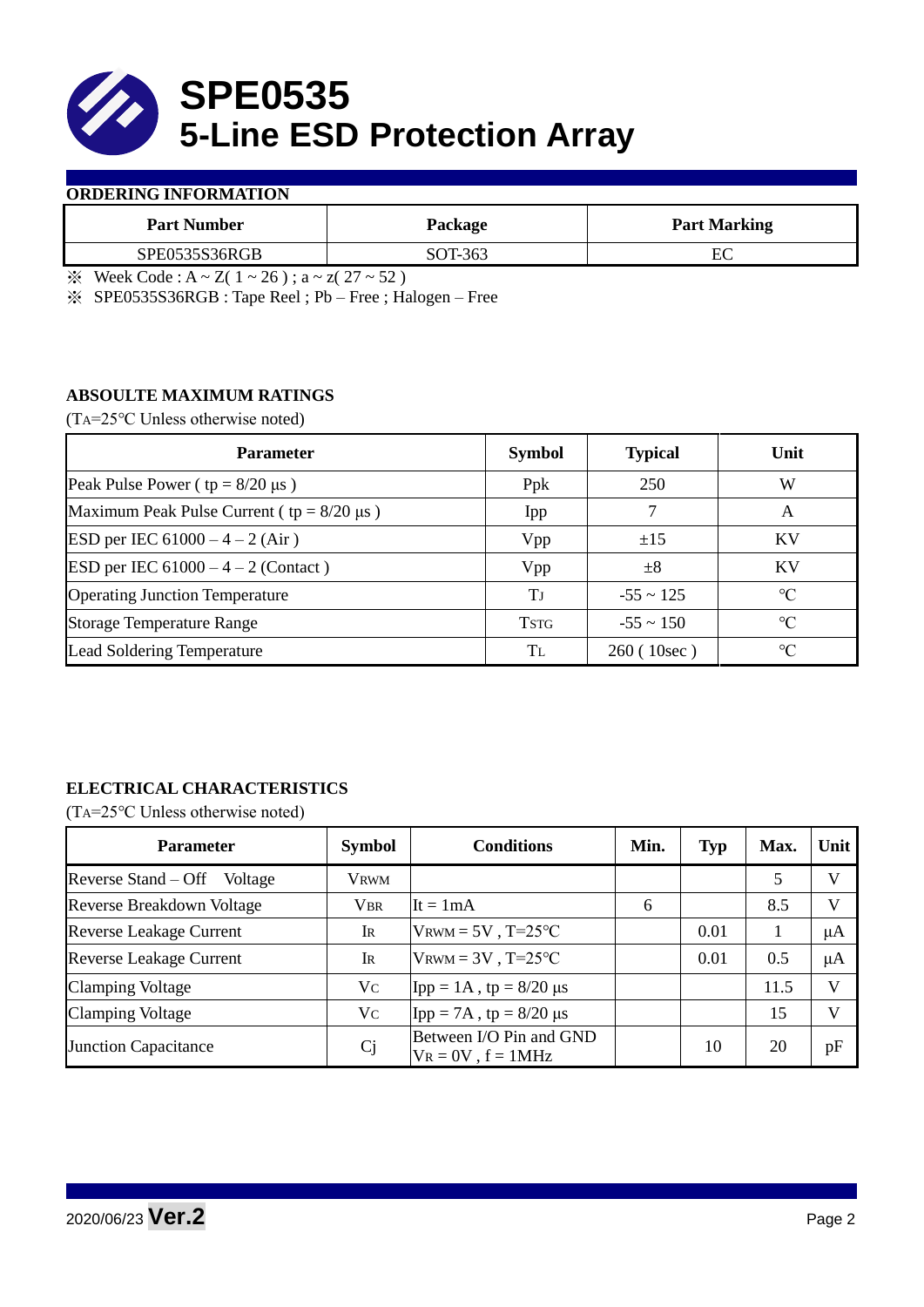

## **ORDERING INFORMATION**

| <b>Part Number</b>   | Package | <b>Part Marking</b> |
|----------------------|---------|---------------------|
| <b>SPE0535S36RGB</b> | SOT-363 | nс                  |

 $\frac{1}{2}$  Week Code : A ~ Z( 1 ~ 26); a ~ z( 27 ~ 52)

※ SPE0535S36RGB : Tape Reel ; Pb – Free ; Halogen – Free

# **ABSOULTE MAXIMUM RATINGS**

(TA=25℃ Unless otherwise noted)

| <b>Parameter</b>                                 | <b>Symbol</b> | <b>Typical</b> | Unit            |  |
|--------------------------------------------------|---------------|----------------|-----------------|--|
| Peak Pulse Power ( $tp = 8/20 \mu s$ )           | Ppk           | 250            | W               |  |
| Maximum Peak Pulse Current ( $tp = 8/20 \mu s$ ) | Ipp           |                | A               |  |
| ESD per IEC $61000 - 4 - 2$ (Air)                | Vpp           | ±15            | <b>KV</b>       |  |
| <b>ESD</b> per IEC $61000 - 4 - 2$ (Contact)     | Vpp           | $\pm 8$        | KV              |  |
| <b>Operating Junction Temperature</b>            | Tі            | $-55 \sim 125$ | $\rm ^{\circ}C$ |  |
| <b>Storage Temperature Range</b>                 | <b>TSTG</b>   | $-55 \sim 150$ | $\rm ^{\circ}C$ |  |
| Lead Soldering Temperature                       | Tī.           | 260(10sec)     | $\rm ^{\circ}C$ |  |

# **ELECTRICAL CHARACTERISTICS**

(TA=25℃ Unless otherwise noted)

| <b>Parameter</b>                 | <b>Symbol</b> | <b>Conditions</b>                                  | Min. | <b>Typ</b> | Max. | Unit         |
|----------------------------------|---------------|----------------------------------------------------|------|------------|------|--------------|
| Reverse Stand – Off<br>Voltage   | <b>VRWM</b>   |                                                    |      |            | 5    | V            |
| <b>Reverse Breakdown Voltage</b> | <b>VBR</b>    | It = $1mA$                                         | 6    |            | 8.5  | $\mathbf{V}$ |
| <b>Reverse Leakage Current</b>   | IR            | $V_{\text{RWM}} = 5V$ , T=25°C                     |      | 0.01       |      | μA           |
| <b>Reverse Leakage Current</b>   | IR            | $V_{\text{RWM}} = 3V$ , T=25°C                     |      | 0.01       | 0.5  | μA           |
| <b>Clamping Voltage</b>          | Vc            | Ipp = $1A$ , tp = $8/20 \mu s$                     |      |            | 11.5 | V            |
| <b>Clamping Voltage</b>          | Vc            | Ipp = 7A, tp = $8/20 \mu s$                        |      |            | 15   | $\mathbf{V}$ |
| <b>Junction Capacitance</b>      | <b>Cj</b>     | Between I/O Pin and GND<br>$V_R = 0V$ , $f = 1MHz$ |      | 10         | 20   | pF           |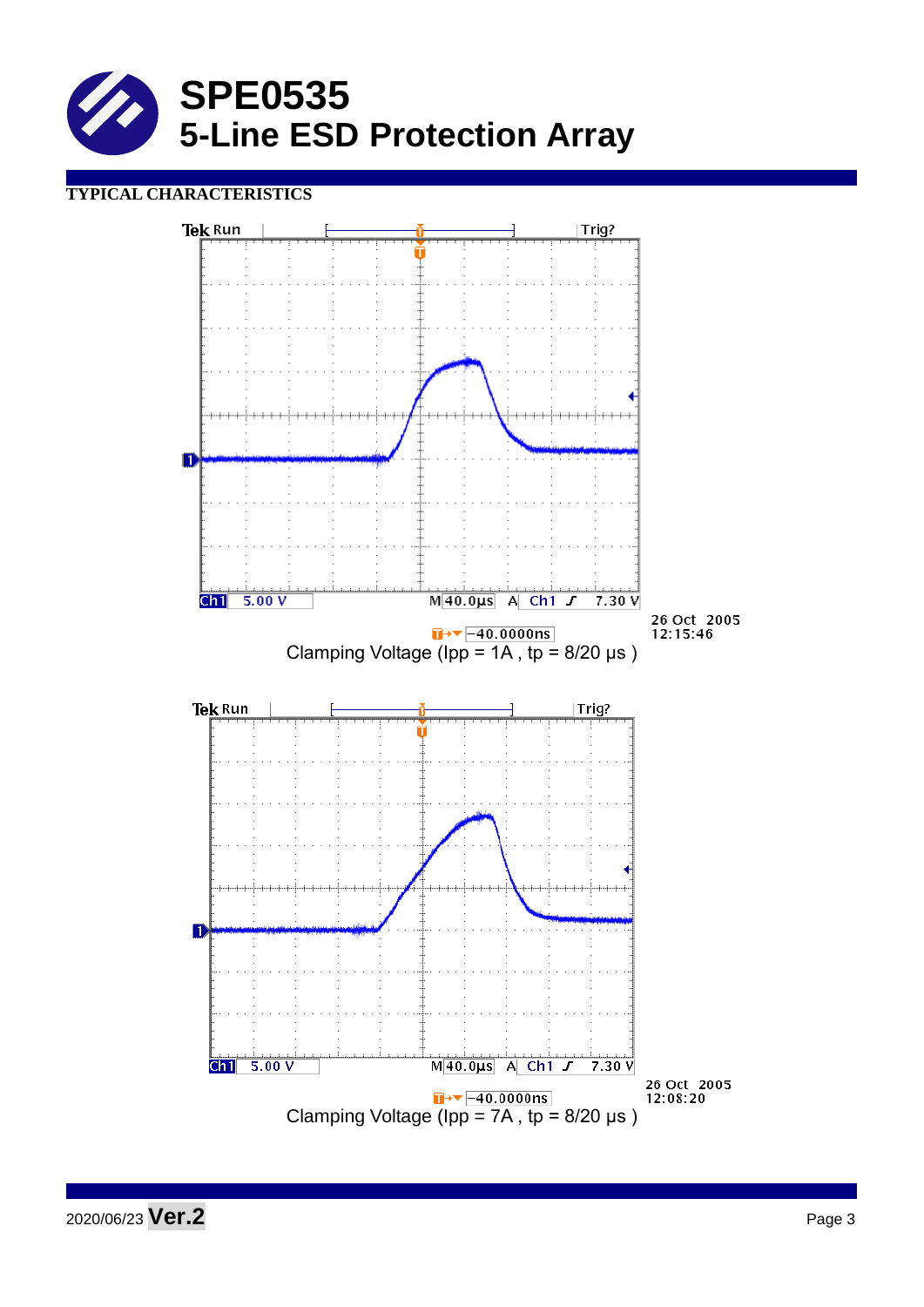

# **TYPICAL CHARACTERISTICS**

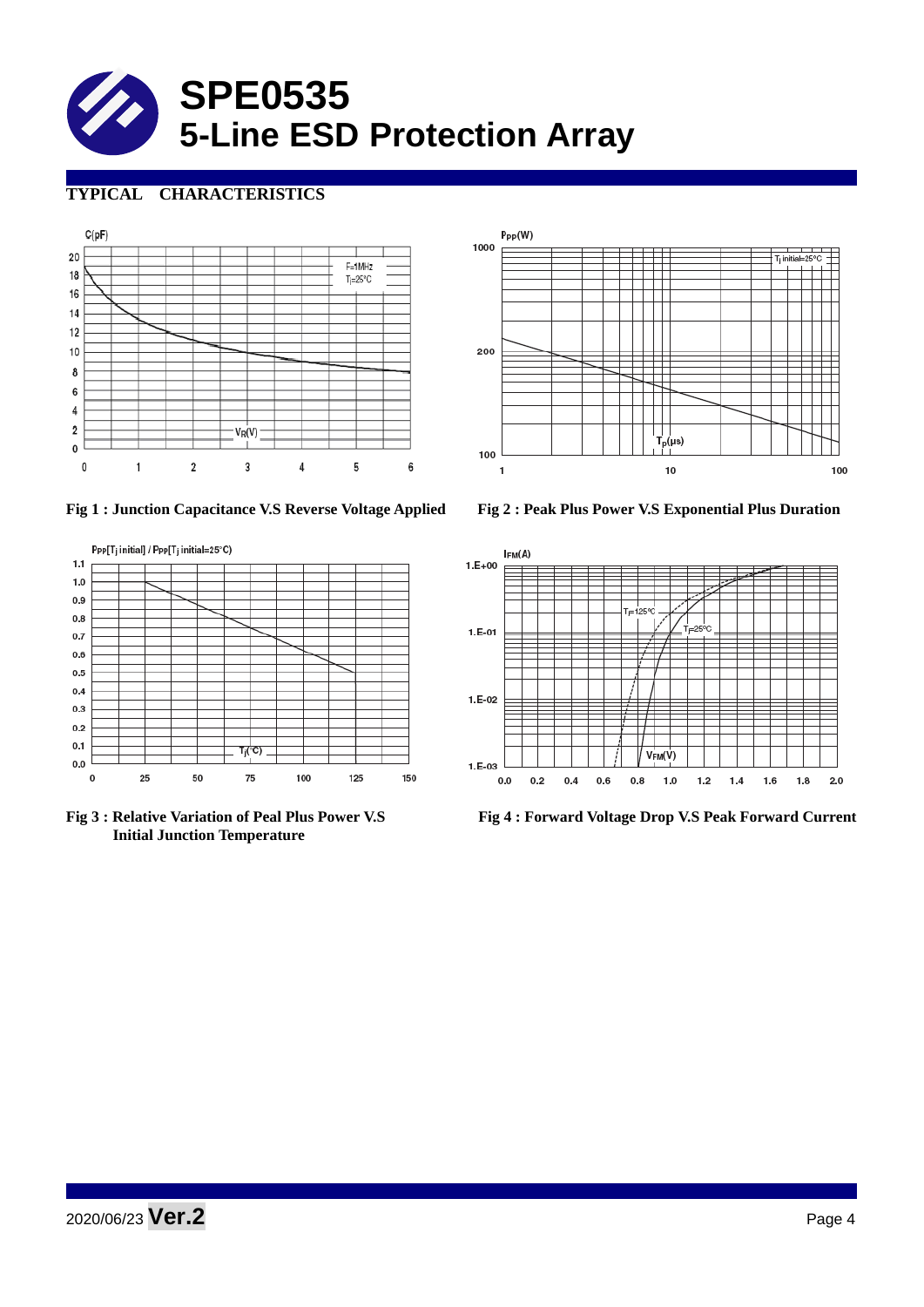

# **TYPICAL CHARACTERISTICS**





 **Initial Junction Temperature** 



**Fig 1 : Junction Capacitance V.S Reverse Voltage Applied Fig 2 : Peak Plus Power V.S Exponential Plus Duration**



**Fig 3 : Relative Variation of Peal Plus Power V.S Fig 4 : Forward Voltage Drop V.S Peak Forward Current**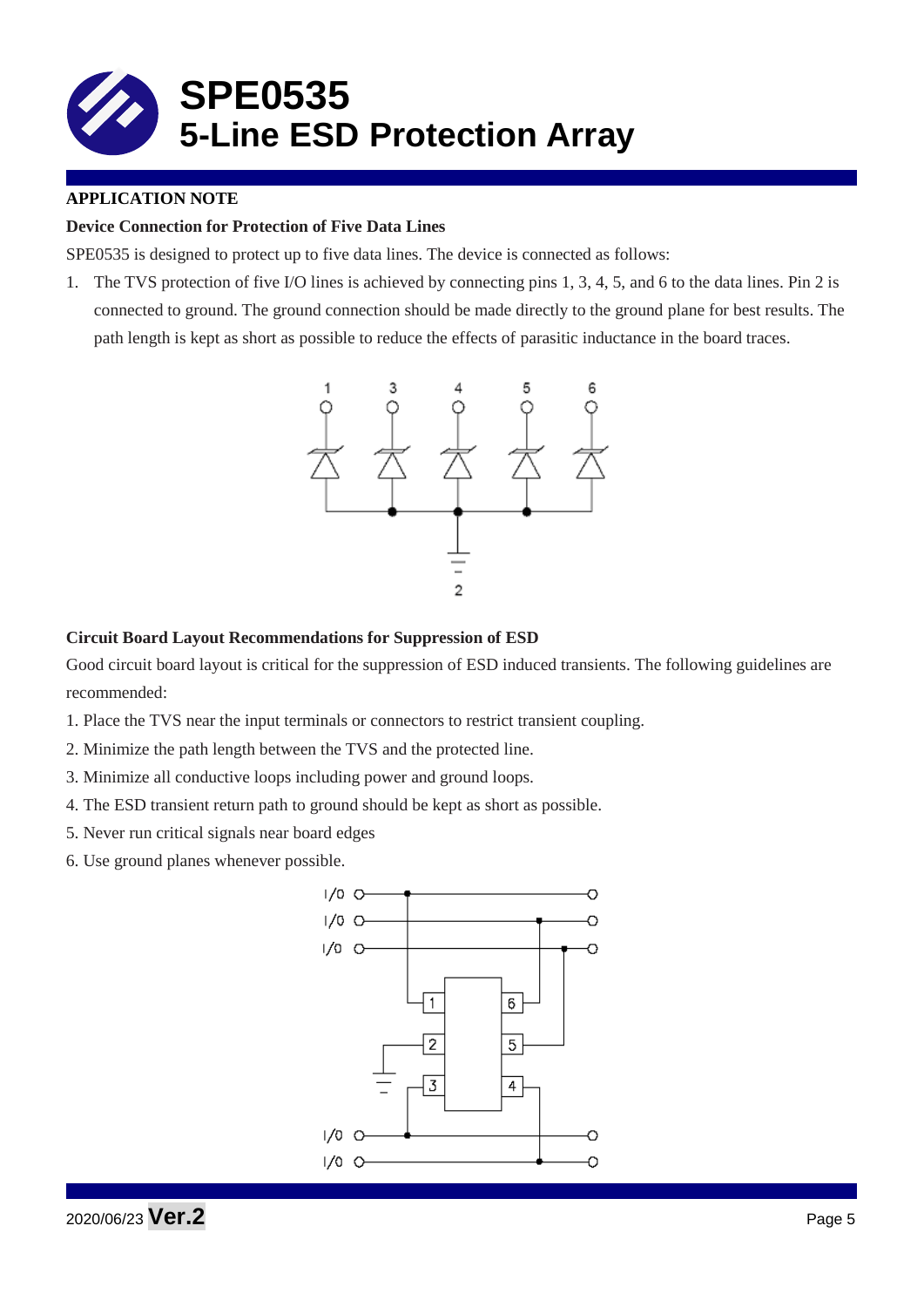

# **APPLICATION NOTE**

# **Device Connection for Protection of Five Data Lines**

SPE0535 is designed to protect up to five data lines. The device is connected as follows:

1. The TVS protection of five I/O lines is achieved by connecting pins 1, 3, 4, 5, and 6 to the data lines. Pin 2 is connected to ground. The ground connection should be made directly to the ground plane for best results. The path length is kept as short as possible to reduce the effects of parasitic inductance in the board traces.



### **Circuit Board Layout Recommendations for Suppression of ESD**

Good circuit board layout is critical for the suppression of ESD induced transients. The following guidelines are recommended:

- 1. Place the TVS near the input terminals or connectors to restrict transient coupling.
- 2. Minimize the path length between the TVS and the protected line.
- 3. Minimize all conductive loops including power and ground loops.
- 4. The ESD transient return path to ground should be kept as short as possible.
- 5. Never run critical signals near board edges
- 6. Use ground planes whenever possible.